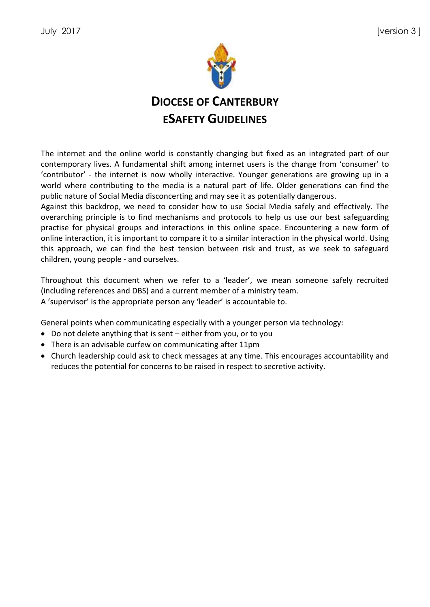

The internet and the online world is constantly changing but fixed as an integrated part of our contemporary lives. A fundamental shift among internet users is the change from 'consumer' to 'contributor' - the internet is now wholly interactive. Younger generations are growing up in a world where contributing to the media is a natural part of life. Older generations can find the public nature of Social Media disconcerting and may see it as potentially dangerous.

Against this backdrop, we need to consider how to use Social Media safely and effectively. The overarching principle is to find mechanisms and protocols to help us use our best safeguarding practise for physical groups and interactions in this online space. Encountering a new form of online interaction, it is important to compare it to a similar interaction in the physical world. Using this approach, we can find the best tension between risk and trust, as we seek to safeguard children, young people - and ourselves.

Throughout this document when we refer to a 'leader', we mean someone safely recruited (including references and DBS) and a current member of a ministry team. A 'supervisor' is the appropriate person any 'leader' is accountable to.

General points when communicating especially with a younger person via technology:

- Do not delete anything that is sent either from you, or to you
- There is an advisable curfew on communicating after 11pm
- Church leadership could ask to check messages at any time. This encourages accountability and reduces the potential for concerns to be raised in respect to secretive activity.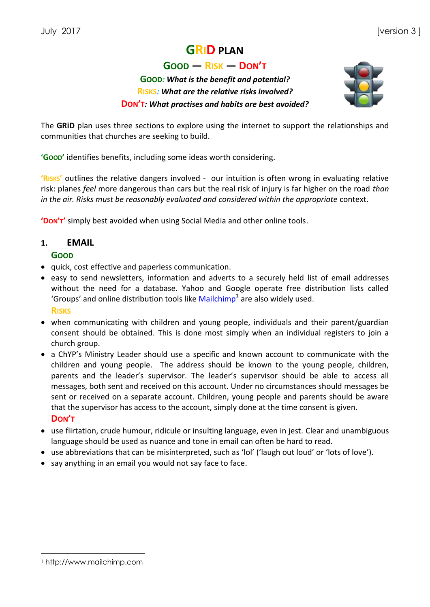# **GRID PLAN**

**GOOD — RISK — DON'T**

## **GOOD***: What is the benefit and potential?* **RISKS***: What are the relative risks involved?* **DON'T***: What practises and habits are best avoided?*



The **GRiD** plan uses three sections to explore using the internet to support the relationships and communities that churches are seeking to build.

**'GOOD'** identifies benefits, including some ideas worth considering.

**'RISKS'** outlines the relative dangers involved - our intuition is often wrong in evaluating relative risk: planes *feel* more dangerous than cars but the real risk of injury is far higher on the road *than in the air. Risks must be reasonably evaluated and considered within the appropriate* context.

**'DON'T'** simply best avoided when using Social Media and other online tools.

### **1. EMAIL**

#### **GOOD**

- quick, cost effective and paperless communication.
- easy to send newsletters, information and adverts to a securely held list of email addresses without the need for a database. Yahoo and Google operate free distribution lists called 'Groups' and online distribution tools like  $\text{Mailchimp}^1$  $\text{Mailchimp}^1$  $\text{Mailchimp}^1$  are also widely used.

**RISKS**

- when communicating with children and young people, individuals and their parent/guardian consent should be obtained. This is done most simply when an individual registers to join a church group.
- a ChYP's Ministry Leader should use a specific and known account to communicate with the children and young people. The address should be known to the young people, children, parents and the leader's supervisor. The leader's supervisor should be able to access all messages, both sent and received on this account. Under no circumstances should messages be sent or received on a separate account. Children, young people and parents should be aware that the supervisor has access to the account, simply done at the time consent is given. **DON'T**
- use flirtation, crude humour, ridicule or insulting language, even in jest. Clear and unambiguous language should be used as nuance and tone in email can often be hard to read.
- use abbreviations that can be misinterpreted, such as 'lol' ('laugh out loud' or 'lots of love').
- say anything in an email you would not say face to face.

1

<sup>1</sup> http://www.mailchimp.com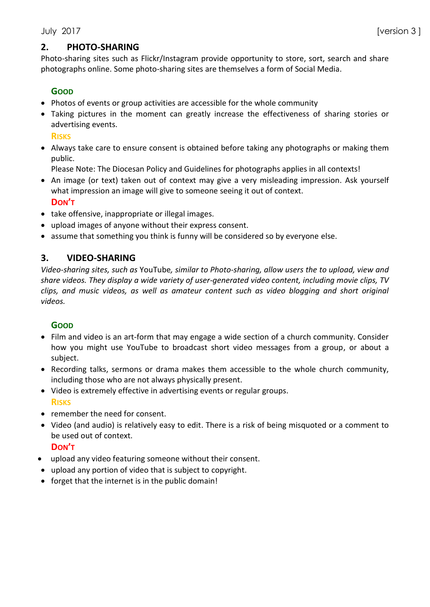## **2. PHOTO-SHARING**

Photo-sharing sites such as Flickr/Instagram provide opportunity to store, sort, search and share photographs online. Some photo-sharing sites are themselves a form of Social Media.

#### **GOOD**

- Photos of events or group activities are accessible for the whole community
- Taking pictures in the moment can greatly increase the effectiveness of sharing stories or advertising events.

**RISKS**

- Always take care to ensure consent is obtained before taking any photographs or making them public.
	- Please Note: The Diocesan Policy and Guidelines for photographs applies in all contexts!
- An image (or text) taken out of context may give a very misleading impression. Ask yourself what impression an image will give to someone seeing it out of context. **DON'T**
- take offensive, inappropriate or illegal images.
- upload images of anyone without their express consent.
- assume that something you think is funny will be considered so by everyone else.

### **3. VIDEO-SHARING**

*Video-sharing sites, such as* YouTube*, similar to Photo-sharing, allow users the to upload, view and share videos. They display a wide variety of user-generated video content, including movie clips, TV clips, and music videos, as well as amateur content such as video blogging and short original videos.*

#### **GOOD**

- Film and video is an art-form that may engage a wide section of a church community. Consider how you might use YouTube to broadcast short video messages from a group, or about a subject.
- Recording talks, sermons or drama makes them accessible to the whole church community, including those who are not always physically present.
- Video is extremely effective in advertising events or regular groups. **RISKS**
- remember the need for consent.
- Video (and audio) is relatively easy to edit. There is a risk of being misquoted or a comment to be used out of context.

**DON'T**

- upload any video featuring someone without their consent.
- upload any portion of video that is subject to copyright.
- forget that the internet is in the public domain!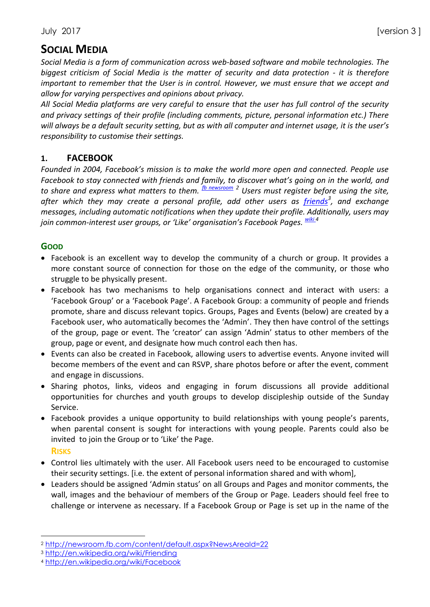# **SOCIAL MEDIA**

*Social Media is a form of communication across web-based software and mobile technologies. The biggest criticism of Social Media is the matter of security and data protection - it is therefore important to remember that the User is in control. However, we must ensure that we accept and allow for varying perspectives and opinions about privacy.* 

*All Social Media platforms are very careful to ensure that the user has full control of the security and privacy settings of their profile (including comments, picture, personal information etc.) There will always be a default security setting, but as with all computer and internet usage, it is the user's responsibility to customise their settings.* 

### **1. FACEBOOK**

*Founded in 2004, Facebook's mission is to make the world more open and connected. People use Facebook to stay connected with friends and family, to discover what's going on in the world, and to share and express what matters to them. [fb newsroom](http://newsroom.fb.com/content/default.aspx?NewsAreaId=22) <sup>2</sup> Users must register before using the site,*  after which they may create a personal profile, add other users as <u>[friends](http://en.wikipedia.org/wiki/Friending)</u><sup>3</sup>, and exchange *messages, including automatic notifications when they update their profile. Additionally, users may join common-interest user groups, or 'Like' organisation's Facebook Pages. [wiki](http://en.wikipedia.org/wiki/Facebook) 4*

### **GOOD**

- Facebook is an excellent way to develop the community of a church or group. It provides a more constant source of connection for those on the edge of the community, or those who struggle to be physically present.
- Facebook has two mechanisms to help organisations connect and interact with users: a 'Facebook Group' or a 'Facebook Page'. A Facebook Group: a community of people and friends promote, share and discuss relevant topics. Groups, Pages and Events (below) are created by a Facebook user, who automatically becomes the 'Admin'. They then have control of the settings of the group, page or event. The 'creator' can assign 'Admin' status to other members of the group, page or event, and designate how much control each then has.
- Events can also be created in Facebook, allowing users to advertise events. Anyone invited will become members of the event and can RSVP, share photos before or after the event, comment and engage in discussions.
- Sharing photos, links, videos and engaging in forum discussions all provide additional opportunities for churches and youth groups to develop discipleship outside of the Sunday Service.
- Facebook provides a unique opportunity to build relationships with young people's parents, when parental consent is sought for interactions with young people. Parents could also be invited to join the Group or to 'Like' the Page.
	- **RISKS**
- Control lies ultimately with the user. All Facebook users need to be encouraged to customise their security settings. [i.e. the extent of personal information shared and with whom],
- Leaders should be assigned 'Admin status' on all Groups and Pages and monitor comments, the wall, images and the behaviour of members of the Group or Page. Leaders should feel free to challenge or intervene as necessary. If a Facebook Group or Page is set up in the name of the

 $\overline{a}$ <sup>2</sup> <http://newsroom.fb.com/content/default.aspx?NewsAreaId=22>

<sup>3</sup> <http://en.wikipedia.org/wiki/Friending>

<sup>4</sup> <http://en.wikipedia.org/wiki/Facebook>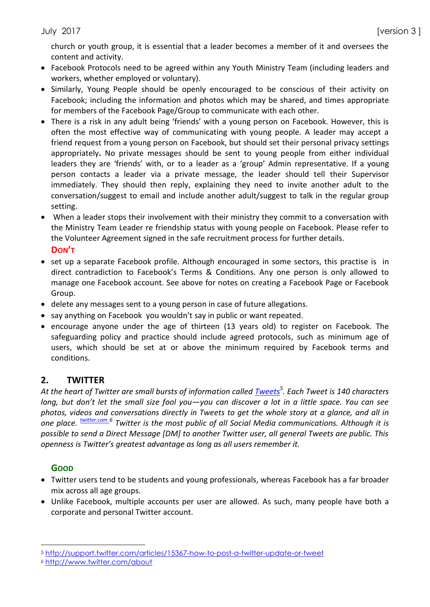church or youth group, it is essential that a leader becomes a member of it and oversees the content and activity.

- Facebook Protocols need to be agreed within any Youth Ministry Team (including leaders and workers, whether employed or voluntary).
- Similarly, Young People should be openly encouraged to be conscious of their activity on Facebook; including the information and photos which may be shared, and times appropriate for members of the Facebook Page/Group to communicate with each other.
- There is a risk in any adult being 'friends' with a young person on Facebook. However, this is often the most effective way of communicating with young people. A leader may accept a friend request from a young person on Facebook, but should set their personal privacy settings appropriately**.** No private messages should be sent to young people from either individual leaders they are 'friends' with, or to a leader as a 'group' Admin representative. If a young person contacts a leader via a private message, the leader should tell their Supervisor immediately. They should then reply, explaining they need to invite another adult to the conversation/suggest to email and include another adult/suggest to talk in the regular group setting.
- When a leader stops their involvement with their ministry they commit to a conversation with the Ministry Team Leader re friendship status with young people on Facebook. Please refer to the Volunteer Agreement signed in the safe recruitment process for further details.

**DON'T**

- set up a separate Facebook profile. Although encouraged in some sectors, this practise is in direct contradiction to Facebook's Terms & Conditions. Any one person is only allowed to manage one Facebook account. See above for notes on creating a Facebook Page or Facebook Group.
- delete any messages sent to a young person in case of future allegations.
- say anything on Facebook you wouldn't say in public or want repeated.
- encourage anyone under the age of thirteen (13 years old) to register on Facebook. The safeguarding policy and practice should include agreed protocols, such as minimum age of users, which should be set at or above the minimum required by Facebook terms and conditions.

## **2. TWITTER**

*At the heart of Twitter are small bursts of information called [Tweets](http://support.twitter.com/articles/15367-how-to-post-a-twitter-update-or-tweet)<sup>5</sup> . Each Tweet is 140 characters long, but don't let the small size fool you—you can discover a lot in a little space. You can see photos, videos and conversations directly in Tweets to get the whole story at a glance, and all in one place. [twitter.com](http://twitter.com/about) <sup>6</sup> Twitter is the most public of all Social Media communications. Although it is possible to send a Direct Message [DM] to another Twitter user, all general Tweets are public. This openness is Twitter's greatest advantage as long as all users remember it.* 

### **GOOD**

 $\overline{a}$ 

- Twitter users tend to be students and young professionals, whereas Facebook has a far broader mix across all age groups.
- Unlike Facebook, multiple accounts per user are allowed. As such, many people have both a corporate and personal Twitter account.

<sup>5</sup> <http://support.twitter.com/articles/15367-how-to-post-a-twitter-update-or-tweet>

<sup>6</sup> <http://www.twitter.com/about>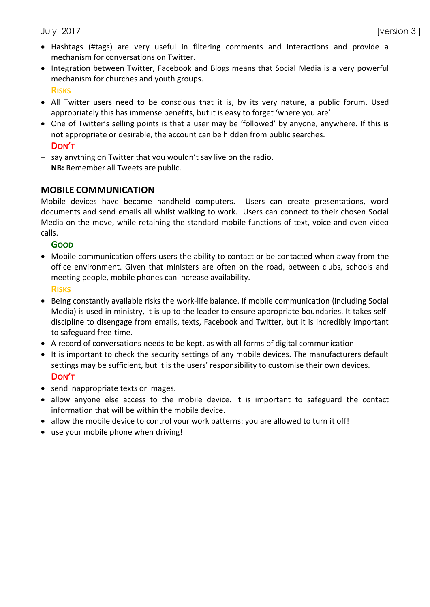- Hashtags (#tags) are very useful in filtering comments and interactions and provide a mechanism for conversations on Twitter.
- Integration between Twitter, Facebook and Blogs means that Social Media is a very powerful mechanism for churches and youth groups. **RISKS**
- All Twitter users need to be conscious that it is, by its very nature, a public forum. Used appropriately this has immense benefits, but it is easy to forget 'where you are'.
- One of Twitter's selling points is that a user may be 'followed' by anyone, anywhere. If this is not appropriate or desirable, the account can be hidden from public searches. **DON'T**
- + say anything on Twitter that you wouldn't say live on the radio. **NB:** Remember all Tweets are public.

### **MOBILE COMMUNICATION**

Mobile devices have become handheld computers. Users can create presentations, word documents and send emails all whilst walking to work. Users can connect to their chosen Social Media on the move, while retaining the standard mobile functions of text, voice and even video calls.

**GOOD**

 Mobile communication offers users the ability to contact or be contacted when away from the office environment. Given that ministers are often on the road, between clubs, schools and meeting people, mobile phones can increase availability.

**RISKS**

- Being constantly available risks the work-life balance. If mobile communication (including Social Media) is used in ministry, it is up to the leader to ensure appropriate boundaries. It takes selfdiscipline to disengage from emails, texts, Facebook and Twitter, but it is incredibly important to safeguard free-time.
- A record of conversations needs to be kept, as with all forms of digital communication
- It is important to check the security settings of any mobile devices. The manufacturers default settings may be sufficient, but it is the users' responsibility to customise their own devices. **DON'T**
- send inappropriate texts or images.
- allow anyone else access to the mobile device. It is important to safeguard the contact information that will be within the mobile device.
- allow the mobile device to control your work patterns: you are allowed to turn it off!
- use your mobile phone when driving!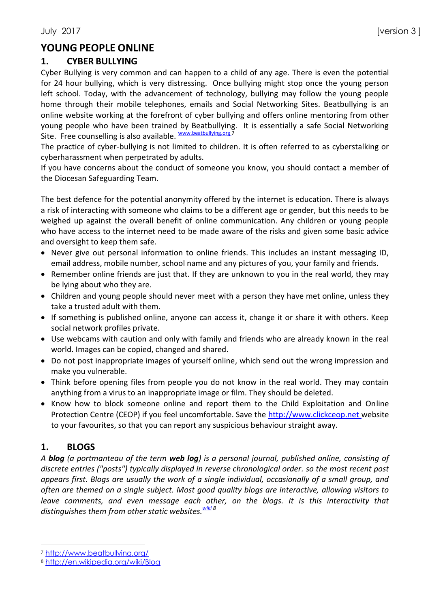## **YOUNG PEOPLE ONLINE**

### **1. CYBER BULLYING**

Cyber Bullying is very common and can happen to a child of any age. There is even the potential for 24 hour bullying, which is very distressing. Once bullying might stop once the young person left school. Today, with the advancement of technology, bullying may follow the young people home through their mobile telephones, emails and Social Networking Sites. Beatbullying is an online website working at the forefront of cyber bullying and offers online mentoring from other young people who have been trained by Beatbullying. It is essentially a safe Social Networking Site. Free counselling is also available. Www.beatbullying.org 7

The practice of cyber-bullying is not limited to children. It is often referred to as cyberstalking or cyberharassment when perpetrated by adults.

If you have concerns about the conduct of someone you know, you should contact a member of the Diocesan Safeguarding Team.

The best defence for the potential anonymity offered by the internet is education. There is always a risk of interacting with someone who claims to be a different age or gender, but this needs to be weighed up against the overall benefit of online communication. Any children or young people who have access to the internet need to be made aware of the risks and given some basic advice and oversight to keep them safe.

- Never give out personal information to online friends. This includes an instant messaging ID, email address, mobile number, school name and any pictures of you, your family and friends.
- Remember online friends are just that. If they are unknown to you in the real world, they may be lying about who they are.
- Children and young people should never meet with a person they have met online, unless they take a trusted adult with them.
- If something is published online, anyone can access it, change it or share it with others. Keep social network profiles private.
- Use webcams with caution and only with family and friends who are already known in the real world. Images can be copied, changed and shared.
- Do not post inappropriate images of yourself online, which send out the wrong impression and make you vulnerable.
- Think before opening files from people you do not know in the real world. They may contain anything from a virus to an inappropriate image or film. They should be deleted.
- Know how to block someone online and report them to the Child Exploitation and Online Protection Centre (CEOP) if you feel uncomfortable. Save the [http://www.clickceop.net](http://www.clickceop.net/) website to your favourites, so that you can report any suspicious behaviour straight away.

## **1. BLOGS**

 $\overline{a}$ 

*A blog (a portmanteau of the term web log) is a personal journal, published online, consisting of discrete entries ("posts") typically displayed in reverse chronological order. so the most recent post appears first. Blogs are usually the work of a single individual, occasionally of a small group, and often are themed on a single subject. Most good quality blogs are interactive, allowing visitors to leave comments, and even message each other, on the blogs. It is this interactivity that distinguishes them from other static websites.[wiki](http://en.wikipedia.org/wiki/Blog) <sup>8</sup>*

<sup>7</sup> <http://www.beatbullying.org/>

<sup>8</sup> <http://en.wikipedia.org/wiki/Blog>